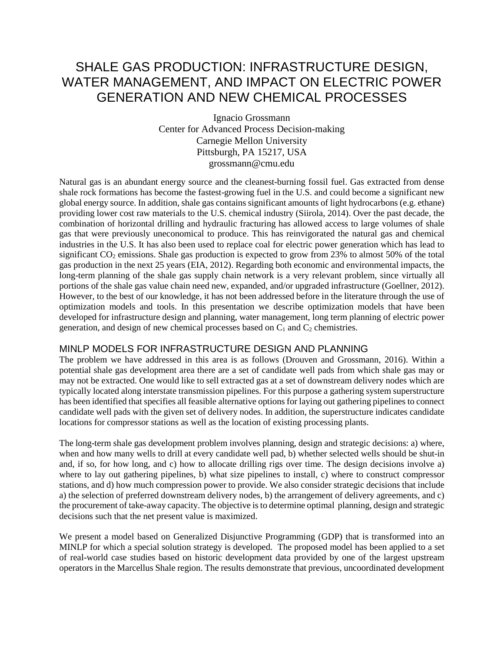# SHALE GAS PRODUCTION: INFRASTRUCTURE DESIGN, WATER MANAGEMENT, AND IMPACT ON ELECTRIC POWER GENERATION AND NEW CHEMICAL PROCESSES

Ignacio Grossmann Center for Advanced Process Decision-making Carnegie Mellon University Pittsburgh, PA 15217, USA grossmann@cmu.edu

Natural gas is an abundant energy source and the cleanest-burning fossil fuel. Gas extracted from dense shale rock formations has become the fastest-growing fuel in the U.S. and could become a significant new global energy source. In addition, shale gas contains significant amounts of light hydrocarbons (e.g. ethane) providing lower cost raw materials to the U.S. chemical industry (Siirola, 2014). Over the past decade, the combination of horizontal drilling and hydraulic fracturing has allowed access to large volumes of shale gas that were previously uneconomical to produce. This has reinvigorated the natural gas and chemical industries in the U.S. It has also been used to replace coal for electric power generation which has lead to significant CO<sub>2</sub> emissions. Shale gas production is expected to grow from 23% to almost 50% of the total gas production in the next 25 years (EIA, 2012). Regarding both economic and environmental impacts, the long-term planning of the shale gas supply chain network is a very relevant problem, since virtually all portions of the shale gas value chain need new, expanded, and/or upgraded infrastructure (Goellner, 2012). However, to the best of our knowledge, it has not been addressed before in the literature through the use of optimization models and tools. In this presentation we describe optimization models that have been developed for infrastructure design and planning, water management, long term planning of electric power generation, and design of new chemical processes based on  $C_1$  and  $C_2$  chemistries.

### MINLP MODELS FOR INFRASTRUCTURE DESIGN AND PLANNING

The problem we have addressed in this area is as follows (Drouven and Grossmann, 2016). Within a potential shale gas development area there are a set of candidate well pads from which shale gas may or may not be extracted. One would like to sell extracted gas at a set of downstream delivery nodes which are typically located along interstate transmission pipelines. For this purpose a gathering system superstructure has been identified that specifies all feasible alternative options for laying out gathering pipelines to connect candidate well pads with the given set of delivery nodes. In addition, the superstructure indicates candidate locations for compressor stations as well as the location of existing processing plants.

The long-term shale gas development problem involves planning, design and strategic decisions: a) where, when and how many wells to drill at every candidate well pad, b) whether selected wells should be shut-in and, if so, for how long, and c) how to allocate drilling rigs over time. The design decisions involve a) where to lay out gathering pipelines, b) what size pipelines to install, c) where to construct compressor stations, and d) how much compression power to provide. We also consider strategic decisions that include a) the selection of preferred downstream delivery nodes, b) the arrangement of delivery agreements, and c) the procurement of take-away capacity. The objective is to determine optimal planning, design and strategic decisions such that the net present value is maximized.

We present a model based on Generalized Disjunctive Programming (GDP) that is transformed into an MINLP for which a special solution strategy is developed. The proposed model has been applied to a set of real-world case studies based on historic development data provided by one of the largest upstream operators in the Marcellus Shale region. The results demonstrate that previous, uncoordinated development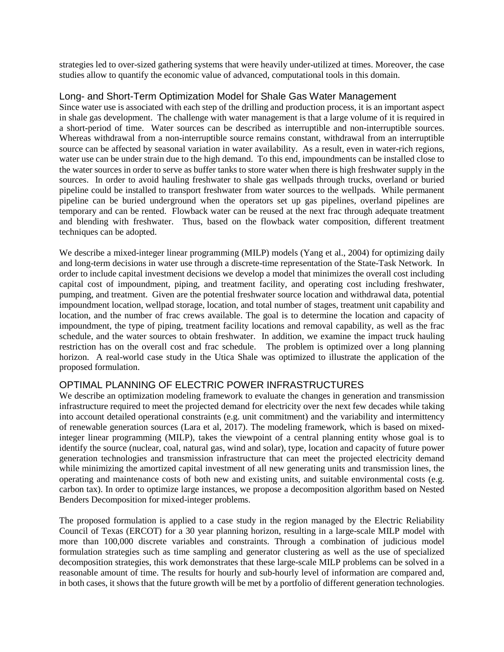strategies led to over-sized gathering systems that were heavily under-utilized at times. Moreover, the case studies allow to quantify the economic value of advanced, computational tools in this domain.

#### Long- and Short-Term Optimization Model for Shale Gas Water Management

Since water use is associated with each step of the drilling and production process, it is an important aspect in shale gas development. The challenge with water management is that a large volume of it is required in a short-period of time. Water sources can be described as interruptible and non-interruptible sources. Whereas withdrawal from a non-interruptible source remains constant, withdrawal from an interruptible source can be affected by seasonal variation in water availability. As a result, even in water-rich regions, water use can be under strain due to the high demand. To this end, impoundments can be installed close to the water sources in order to serve as buffer tanks to store water when there is high freshwater supply in the sources. In order to avoid hauling freshwater to shale gas wellpads through trucks, overland or buried pipeline could be installed to transport freshwater from water sources to the wellpads. While permanent pipeline can be buried underground when the operators set up gas pipelines, overland pipelines are temporary and can be rented. Flowback water can be reused at the next frac through adequate treatment and blending with freshwater. Thus, based on the flowback water composition, different treatment techniques can be adopted.

We describe a mixed-integer linear programming (MILP) models (Yang et al., 2004) for optimizing daily and long-term decisions in water use through a discrete-time representation of the State-Task Network. In order to include capital investment decisions we develop a model that minimizes the overall cost including capital cost of impoundment, piping, and treatment facility, and operating cost including freshwater, pumping, and treatment. Given are the potential freshwater source location and withdrawal data, potential impoundment location, wellpad storage, location, and total number of stages, treatment unit capability and location, and the number of frac crews available. The goal is to determine the location and capacity of impoundment, the type of piping, treatment facility locations and removal capability, as well as the frac schedule, and the water sources to obtain freshwater. In addition, we examine the impact truck hauling restriction has on the overall cost and frac schedule. The problem is optimized over a long planning horizon. A real-world case study in the Utica Shale was optimized to illustrate the application of the proposed formulation.

### OPTIMAL PLANNING OF ELECTRIC POWER INFRASTRUCTURES

We describe an optimization modeling framework to evaluate the changes in generation and transmission infrastructure required to meet the projected demand for electricity over the next few decades while taking into account detailed operational constraints (e.g. unit commitment) and the variability and intermittency of renewable generation sources (Lara et al, 2017). The modeling framework, which is based on mixedinteger linear programming (MILP), takes the viewpoint of a central planning entity whose goal is to identify the source (nuclear, coal, natural gas, wind and solar), type, location and capacity of future power generation technologies and transmission infrastructure that can meet the projected electricity demand while minimizing the amortized capital investment of all new generating units and transmission lines, the operating and maintenance costs of both new and existing units, and suitable environmental costs (e.g. carbon tax). In order to optimize large instances, we propose a decomposition algorithm based on Nested Benders Decomposition for mixed-integer problems.

The proposed formulation is applied to a case study in the region managed by the Electric Reliability Council of Texas (ERCOT) for a 30 year planning horizon, resulting in a large-scale MILP model with more than 100,000 discrete variables and constraints. Through a combination of judicious model formulation strategies such as time sampling and generator clustering as well as the use of specialized decomposition strategies, this work demonstrates that these large-scale MILP problems can be solved in a reasonable amount of time. The results for hourly and sub-hourly level of information are compared and, in both cases, it shows that the future growth will be met by a portfolio of different generation technologies.